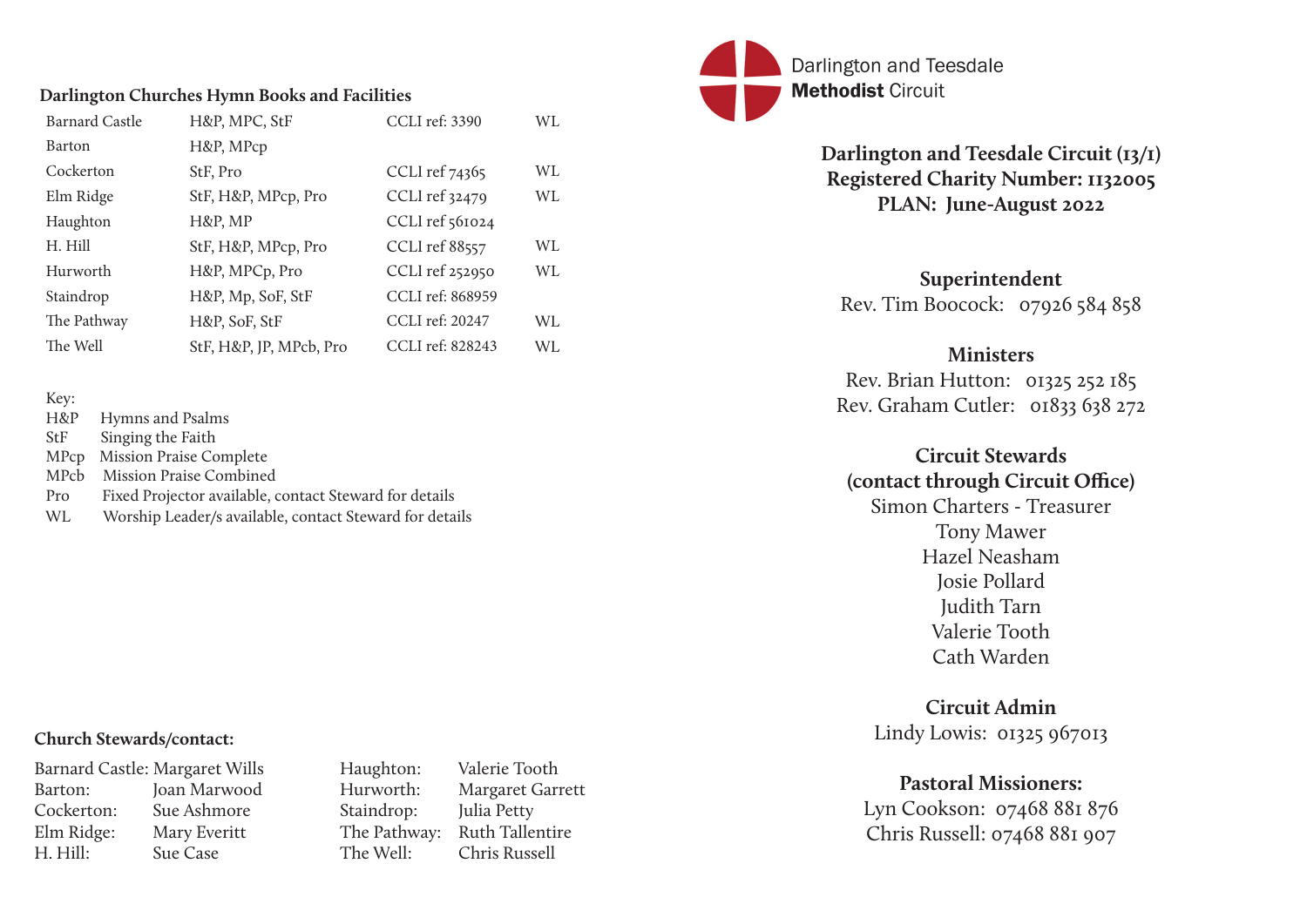### **Darlington and Teesdale Circuit (13/1) Registered Charity Number: 1132005 PLAN: June-August 2022**

**Superintendent**  Rev. Tim Boocock: 07926 584 858

### **Ministers**

Rev. Brian Hutton: 01325 252 185 Rev. Graham Cutler: 01833 638 272

# **Circuit Stewards (contact through Circuit Office)** Simon Charters - Treasurer Tony Mawer Hazel Neasham Josie Pollard Judith Tarn Valerie Tooth

Cath Warden

## **Circuit Admin** Lindy Lowis: 01325 967013

# **Pastoral Missioners:**

Lyn Cookson: 07468 881 876 Chris Russell: 07468 881 907

### **Darlington Churches Hymn Books and Facilities**

| <b>Barnard Castle</b> | H&P, MPC, StF           | <b>CCLI</b> ref: 3390 | WL        |
|-----------------------|-------------------------|-----------------------|-----------|
| <b>Barton</b>         | H&P, MPcp               |                       |           |
| Cockerton             | StF, Pro                | CCLI ref 74365        | <b>WL</b> |
| Elm Ridge             | StF, H&P, MPcp, Pro     | CCLI ref 32479        | WL        |
| Haughton              | H&P, MP                 | CCLI ref 561024       |           |
| H. Hill               | StF, H&P, MPcp, Pro     | <b>CCLI</b> ref 88557 | <b>WL</b> |
| Hurworth              | H&P, MPCp, Pro          | CCLI ref 252950       | WL        |
| Staindrop             | H&P, Mp, SoF, StF       | CCLI ref: 868959      |           |
| The Pathway           | H&P, SoF, StF           | CCLI ref: 20247       | <b>WL</b> |
| The Well              | StF, H&P, JP, MPcb, Pro | CCLI ref: 828243      | WL        |

| Key: |                                                         |
|------|---------------------------------------------------------|
| H&P  | Hymns and Psalms                                        |
| StF  | Singing the Faith                                       |
| MPcp | <b>Mission Praise Complete</b>                          |
| MPcb | <b>Mission Praise Combined</b>                          |
| Pro  | Fixed Projector available, contact Steward for details  |
| WL   | Worship Leader/s available, contact Steward for details |

Darlington and Teesdale **Methodist Circuit** 

### **Church Stewards/contact:**

|            | <b>Barnard Castle: Margaret Wills</b> |
|------------|---------------------------------------|
| Barton:    | Joan Marwood                          |
| Cockerton: | Sue Ashmore                           |
| Elm Ridge: | Mary Everitt                          |
| H. Hill:   | <b>Sue Case</b>                       |

Haughton: Valerie Tooth Hurworth: Margaret Garrett Staindrop: Julia Petty The Pathway: Ruth Tallentire The Well: Chris Russell